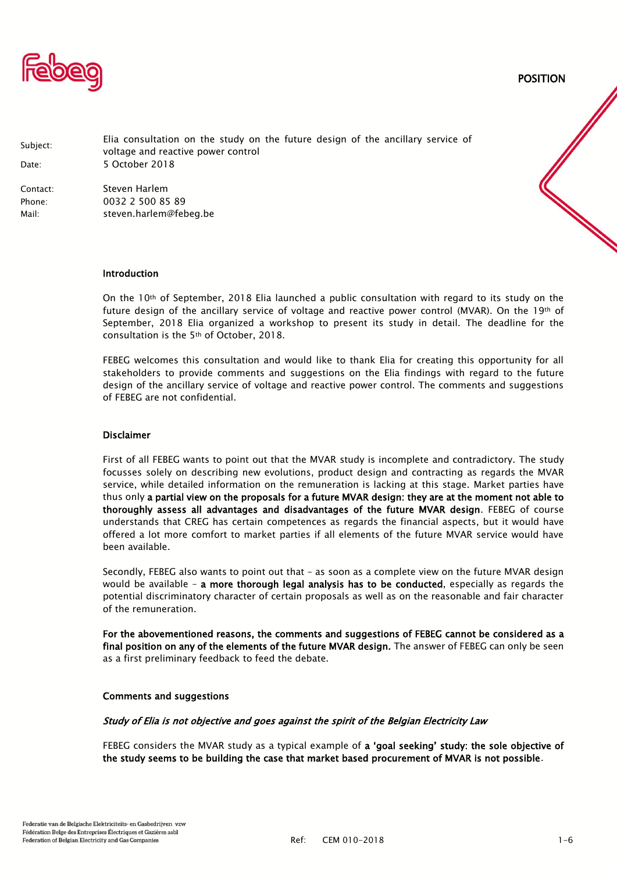

POSITION

| Subject:<br>Date: | Elia consultation on the study on the future design of the ancillary service of<br>voltage and reactive power control<br>5 October 2018 |
|-------------------|-----------------------------------------------------------------------------------------------------------------------------------------|
| Contact:          | Steven Harlem                                                                                                                           |
| Phone:            | 0032 2 500 85 89                                                                                                                        |
| Mail:             | steven.harlem@febeg.be                                                                                                                  |

#### Introduction

On the 10<sup>th</sup> of September, 2018 Elia launched a public consultation with regard to its study on the future design of the ancillary service of voltage and reactive power control (MVAR). On the 19th of September, 2018 Elia organized a workshop to present its study in detail. The deadline for the consultation is the 5th of October, 2018.

FEBEG welcomes this consultation and would like to thank Elia for creating this opportunity for all stakeholders to provide comments and suggestions on the Elia findings with regard to the future design of the ancillary service of voltage and reactive power control. The comments and suggestions of FEBEG are not confidential.

#### Disclaimer

First of all FEBEG wants to point out that the MVAR study is incomplete and contradictory. The study focusses solely on describing new evolutions, product design and contracting as regards the MVAR service, while detailed information on the remuneration is lacking at this stage. Market parties have thus only a partial view on the proposals for a future MVAR design: they are at the moment not able to thoroughly assess all advantages and disadvantages of the future MVAR design. FEBEG of course understands that CREG has certain competences as regards the financial aspects, but it would have offered a lot more comfort to market parties if all elements of the future MVAR service would have been available.

Secondly, FEBEG also wants to point out that – as soon as a complete view on the future MVAR design would be available - a more thorough legal analysis has to be conducted, especially as regards the potential discriminatory character of certain proposals as well as on the reasonable and fair character of the remuneration.

For the abovementioned reasons, the comments and suggestions of FEBEG cannot be considered as a final position on any of the elements of the future MVAR design. The answer of FEBEG can only be seen as a first preliminary feedback to feed the debate.

#### Comments and suggestions

#### Study of Elia is not objective and goes against the spirit of the Belgian Electricity Law

FEBEG considers the MVAR study as a typical example of a 'goal seeking' study: the sole objective of the study seems to be building the case that market based procurement of MVAR is not possible.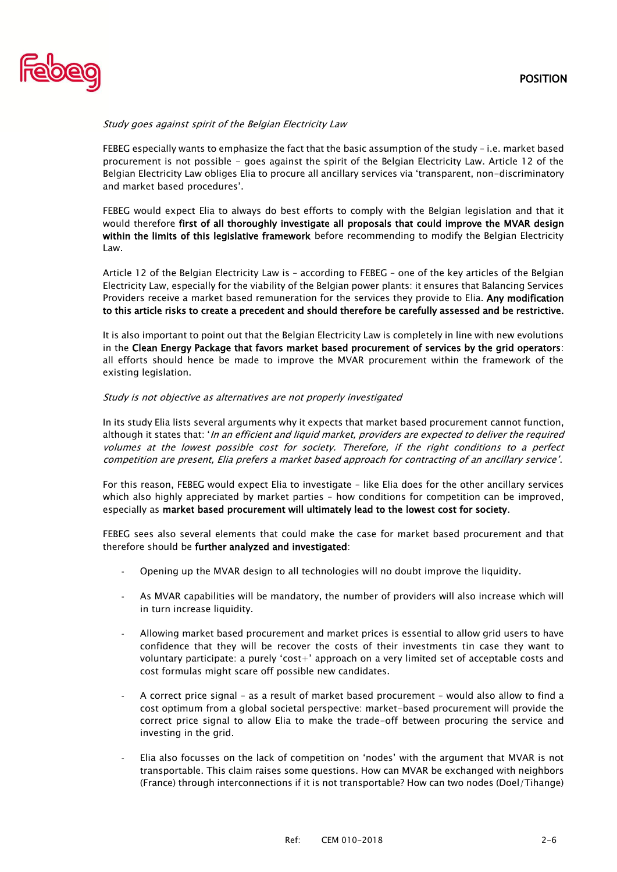

#### Study goes against spirit of the Belgian Electricity Law

FEBEG especially wants to emphasize the fact that the basic assumption of the study – i.e. market based procurement is not possible - goes against the spirit of the Belgian Electricity Law. Article 12 of the Belgian Electricity Law obliges Elia to procure all ancillary services via 'transparent, non-discriminatory and market based procedures'.

FEBEG would expect Elia to always do best efforts to comply with the Belgian legislation and that it would therefore first of all thoroughly investigate all proposals that could improve the MVAR design within the limits of this legislative framework before recommending to modify the Belgian Electricity Law.

Article 12 of the Belgian Electricity Law is – according to FEBEG – one of the key articles of the Belgian Electricity Law, especially for the viability of the Belgian power plants: it ensures that Balancing Services Providers receive a market based remuneration for the services they provide to Elia. Any modification to this article risks to create a precedent and should therefore be carefully assessed and be restrictive.

It is also important to point out that the Belgian Electricity Law is completely in line with new evolutions in the Clean Energy Package that favors market based procurement of services by the grid operators: all efforts should hence be made to improve the MVAR procurement within the framework of the existing legislation.

#### Study is not objective as alternatives are not properly investigated

In its study Elia lists several arguments why it expects that market based procurement cannot function, although it states that: 'In an efficient and liquid market, providers are expected to deliver the required volumes at the lowest possible cost for society. Therefore, if the right conditions to a perfect competition are present, Elia prefers a market based approach for contracting of an ancillary service'.

For this reason, FEBEG would expect Elia to investigate – like Elia does for the other ancillary services which also highly appreciated by market parties – how conditions for competition can be improved, especially as market based procurement will ultimately lead to the lowest cost for society.

FEBEG sees also several elements that could make the case for market based procurement and that therefore should be further analyzed and investigated:

- Opening up the MVAR design to all technologies will no doubt improve the liquidity.
- As MVAR capabilities will be mandatory, the number of providers will also increase which will in turn increase liquidity.
- Allowing market based procurement and market prices is essential to allow grid users to have confidence that they will be recover the costs of their investments tin case they want to voluntary participate: a purely 'cost+' approach on a very limited set of acceptable costs and cost formulas might scare off possible new candidates.
- A correct price signal as a result of market based procurement would also allow to find a cost optimum from a global societal perspective: market-based procurement will provide the correct price signal to allow Elia to make the trade-off between procuring the service and investing in the grid.
- Elia also focusses on the lack of competition on 'nodes' with the argument that MVAR is not transportable. This claim raises some questions. How can MVAR be exchanged with neighbors (France) through interconnections if it is not transportable? How can two nodes (Doel/Tihange)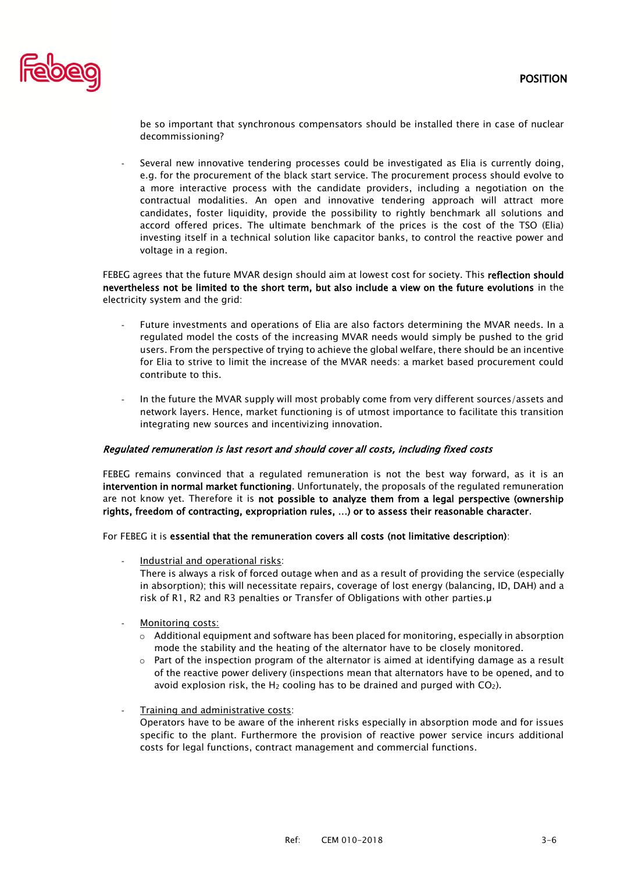

be so important that synchronous compensators should be installed there in case of nuclear decommissioning?

Several new innovative tendering processes could be investigated as Elia is currently doing, e.g. for the procurement of the black start service. The procurement process should evolve to a more interactive process with the candidate providers, including a negotiation on the contractual modalities. An open and innovative tendering approach will attract more candidates, foster liquidity, provide the possibility to rightly benchmark all solutions and accord offered prices. The ultimate benchmark of the prices is the cost of the TSO (Elia) investing itself in a technical solution like capacitor banks, to control the reactive power and voltage in a region.

FEBEG agrees that the future MVAR design should aim at lowest cost for society. This reflection should nevertheless not be limited to the short term, but also include a view on the future evolutions in the electricity system and the grid:

- Future investments and operations of Elia are also factors determining the MVAR needs. In a regulated model the costs of the increasing MVAR needs would simply be pushed to the grid users. From the perspective of trying to achieve the global welfare, there should be an incentive for Elia to strive to limit the increase of the MVAR needs: a market based procurement could contribute to this.
- In the future the MVAR supply will most probably come from very different sources/assets and network layers. Hence, market functioning is of utmost importance to facilitate this transition integrating new sources and incentivizing innovation.

## Regulated remuneration is last resort and should cover all costs, including fixed costs

FEBEG remains convinced that a regulated remuneration is not the best way forward, as it is an intervention in normal market functioning. Unfortunately, the proposals of the regulated remuneration are not know yet. Therefore it is not possible to analyze them from a legal perspective (ownership rights, freedom of contracting, expropriation rules, …) or to assess their reasonable character.

For FEBEG it is essential that the remuneration covers all costs (not limitative description):

- Industrial and operational risks: There is always a risk of forced outage when and as a result of providing the service (especially in absorption); this will necessitate repairs, coverage of lost energy (balancing, ID, DAH) and a risk of R1, R2 and R3 penalties or Transfer of Obligations with other parties.µ
- Monitoring costs:
	- $\circ$  Additional equipment and software has been placed for monitoring, especially in absorption mode the stability and the heating of the alternator have to be closely monitored.
	- $\circ$  Part of the inspection program of the alternator is aimed at identifying damage as a result of the reactive power delivery (inspections mean that alternators have to be opened, and to avoid explosion risk, the H<sub>2</sub> cooling has to be drained and purged with  $CO<sub>2</sub>$ ).
- Training and administrative costs:
	- Operators have to be aware of the inherent risks especially in absorption mode and for issues specific to the plant. Furthermore the provision of reactive power service incurs additional costs for legal functions, contract management and commercial functions.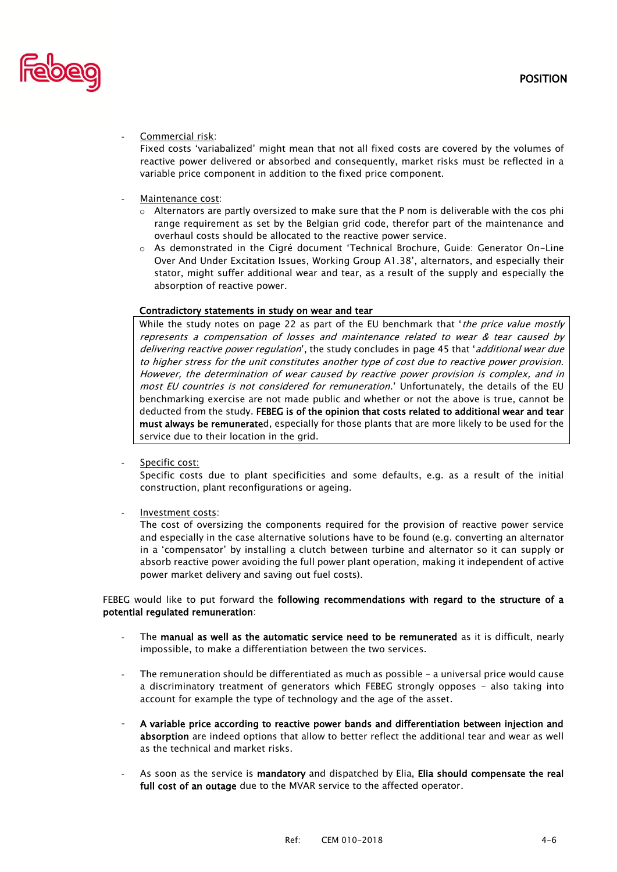

#### Commercial risk:

Fixed costs 'variabalized' might mean that not all fixed costs are covered by the volumes of reactive power delivered or absorbed and consequently, market risks must be reflected in a variable price component in addition to the fixed price component.

## Maintenance cost:

- $\circ$  Alternators are partly oversized to make sure that the P nom is deliverable with the cos phi range requirement as set by the Belgian grid code, therefor part of the maintenance and overhaul costs should be allocated to the reactive power service.
- o As demonstrated in the Cigré document 'Technical Brochure, Guide: Generator On-Line Over And Under Excitation Issues, Working Group A1.38', alternators, and especially their stator, might suffer additional wear and tear, as a result of the supply and especially the absorption of reactive power.

## Contradictory statements in study on wear and tear

While the study notes on page 22 as part of the EU benchmark that *'the price value mostly* represents a compensation of losses and maintenance related to wear & tear caused by delivering reactive power regulation', the study concludes in page 45 that 'additional wear due to higher stress for the unit constitutes another type of cost due to reactive power provision. However, the determination of wear caused by reactive power provision is complex, and in most EU countries is not considered for remuneration.' Unfortunately, the details of the EU benchmarking exercise are not made public and whether or not the above is true, cannot be deducted from the study. FEBEG is of the opinion that costs related to additional wear and tear must always be remunerated, especially for those plants that are more likely to be used for the service due to their location in the grid.

Specific cost:

Specific costs due to plant specificities and some defaults, e.g. as a result of the initial construction, plant reconfigurations or ageing.

Investment costs:

The cost of oversizing the components required for the provision of reactive power service and especially in the case alternative solutions have to be found (e.g. converting an alternator in a 'compensator' by installing a clutch between turbine and alternator so it can supply or absorb reactive power avoiding the full power plant operation, making it independent of active power market delivery and saving out fuel costs).

## FEBEG would like to put forward the following recommendations with regard to the structure of a potential regulated remuneration:

- The manual as well as the automatic service need to be remunerated as it is difficult, nearly impossible, to make a differentiation between the two services.
- The remuneration should be differentiated as much as possible  $-$  a universal price would cause a discriminatory treatment of generators which FEBEG strongly opposes - also taking into account for example the type of technology and the age of the asset.
- A variable price according to reactive power bands and differentiation between injection and absorption are indeed options that allow to better reflect the additional tear and wear as well as the technical and market risks.
- As soon as the service is mandatory and dispatched by Elia, Elia should compensate the real full cost of an outage due to the MVAR service to the affected operator.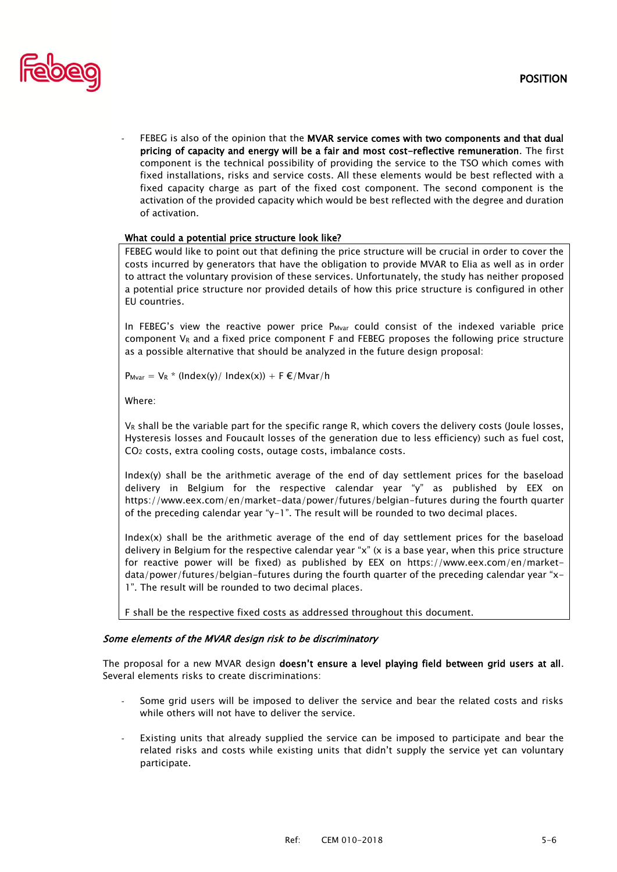

FEBEG is also of the opinion that the MVAR service comes with two components and that dual pricing of capacity and energy will be a fair and most cost-reflective remuneration. The first component is the technical possibility of providing the service to the TSO which comes with fixed installations, risks and service costs. All these elements would be best reflected with a fixed capacity charge as part of the fixed cost component. The second component is the activation of the provided capacity which would be best reflected with the degree and duration of activation.

## What could a potential price structure look like?

FEBEG would like to point out that defining the price structure will be crucial in order to cover the costs incurred by generators that have the obligation to provide MVAR to Elia as well as in order to attract the voluntary provision of these services. Unfortunately, the study has neither proposed a potential price structure nor provided details of how this price structure is configured in other EU countries.

In FEBEG's view the reactive power price  $P_{Mvar}$  could consist of the indexed variable price component  $V_R$  and a fixed price component F and FEBEG proposes the following price structure as a possible alternative that should be analyzed in the future design proposal:

 $P_{Mvar} = V_R * (Index(y) / Index(x)) + F \in /Mvar/h$ 

Where:

V<sub>R</sub> shall be the variable part for the specific range R, which covers the delivery costs (Joule losses, Hysteresis losses and Foucault losses of the generation due to less efficiency) such as fuel cost, CO<sup>2</sup> costs, extra cooling costs, outage costs, imbalance costs.

Index(y) shall be the arithmetic average of the end of day settlement prices for the baseload delivery in Belgium for the respective calendar year "y" as published by EEX on <https://www.eex.com/en/market-data/power/futures/belgian-futures> during the fourth quarter of the preceding calendar year "y-1". The result will be rounded to two decimal places.

Index(x) shall be the arithmetic average of the end of day settlement prices for the baseload delivery in Belgium for the respective calendar year "x" (x is a base year, when this price structure for reactive power will be fixed) as published by EEX on [https://www.eex.com/en/market](https://www.eex.com/en/market-data/power/futures/belgian-futures)[data/power/futures/belgian-futures](https://www.eex.com/en/market-data/power/futures/belgian-futures) during the fourth quarter of the preceding calendar year "x-1". The result will be rounded to two decimal places.

F shall be the respective fixed costs as addressed throughout this document.

## Some elements of the MVAR design risk to be discriminatory

The proposal for a new MVAR design doesn't ensure a level playing field between grid users at all. Several elements risks to create discriminations:

- Some grid users will be imposed to deliver the service and bear the related costs and risks while others will not have to deliver the service.
- Existing units that already supplied the service can be imposed to participate and bear the related risks and costs while existing units that didn't supply the service yet can voluntary participate.